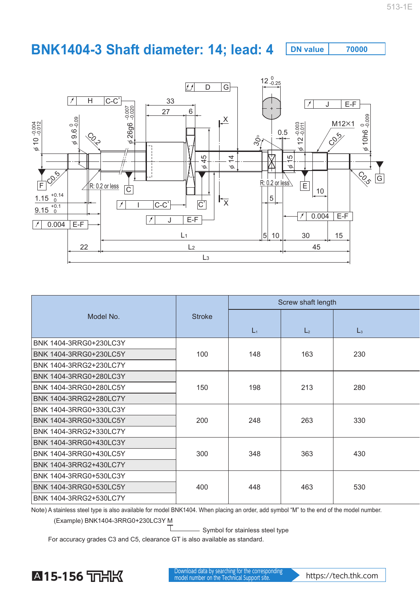## **BNK1404-3 Shaft diameter: 14; lead: 4** DN value 70000



| Model No.              | <b>Stroke</b> | Screw shaft length |                |                |  |
|------------------------|---------------|--------------------|----------------|----------------|--|
|                        |               |                    |                |                |  |
|                        |               | L1                 | L <sub>2</sub> | $\mathsf{L}_3$ |  |
| BNK 1404-3RRG0+230LC3Y |               | 148                | 163            |                |  |
| BNK 1404-3RRG0+230LC5Y | 100           |                    |                | 230            |  |
| BNK 1404-3RRG2+230LC7Y |               |                    |                |                |  |
| BNK 1404-3RRG0+280LC3Y | 150           | 198                | 213            |                |  |
| BNK 1404-3RRG0+280LC5Y |               |                    |                | 280            |  |
| BNK 1404-3RRG2+280LC7Y |               |                    |                |                |  |
| BNK 1404-3RRG0+330LC3Y | 200           | 248                | 263            |                |  |
| BNK 1404-3RRG0+330LC5Y |               |                    |                | 330            |  |
| BNK 1404-3RRG2+330LC7Y |               |                    |                |                |  |
| BNK 1404-3RRG0+430LC3Y | 300           | 348                | 363            |                |  |
| BNK 1404-3RRG0+430LC5Y |               |                    |                | 430            |  |
| BNK 1404-3RRG2+430LC7Y |               |                    |                |                |  |
| BNK 1404-3RRG0+530LC3Y | 400           | 448                | 463            |                |  |
| BNK 1404-3RRG0+530LC5Y |               |                    |                | 530            |  |
| BNK 1404-3RRG2+530LC7Y |               |                    |                |                |  |

Note) A stainless steel type is also available for model BNK1404. When placing an order, add symbol "M" to the end of the model number.

(Example) BNK1404-3RRG0+230LC3Y M

- Symbol for stainless steel type

For accuracy grades C3 and C5, clearance GT is also available as standard.